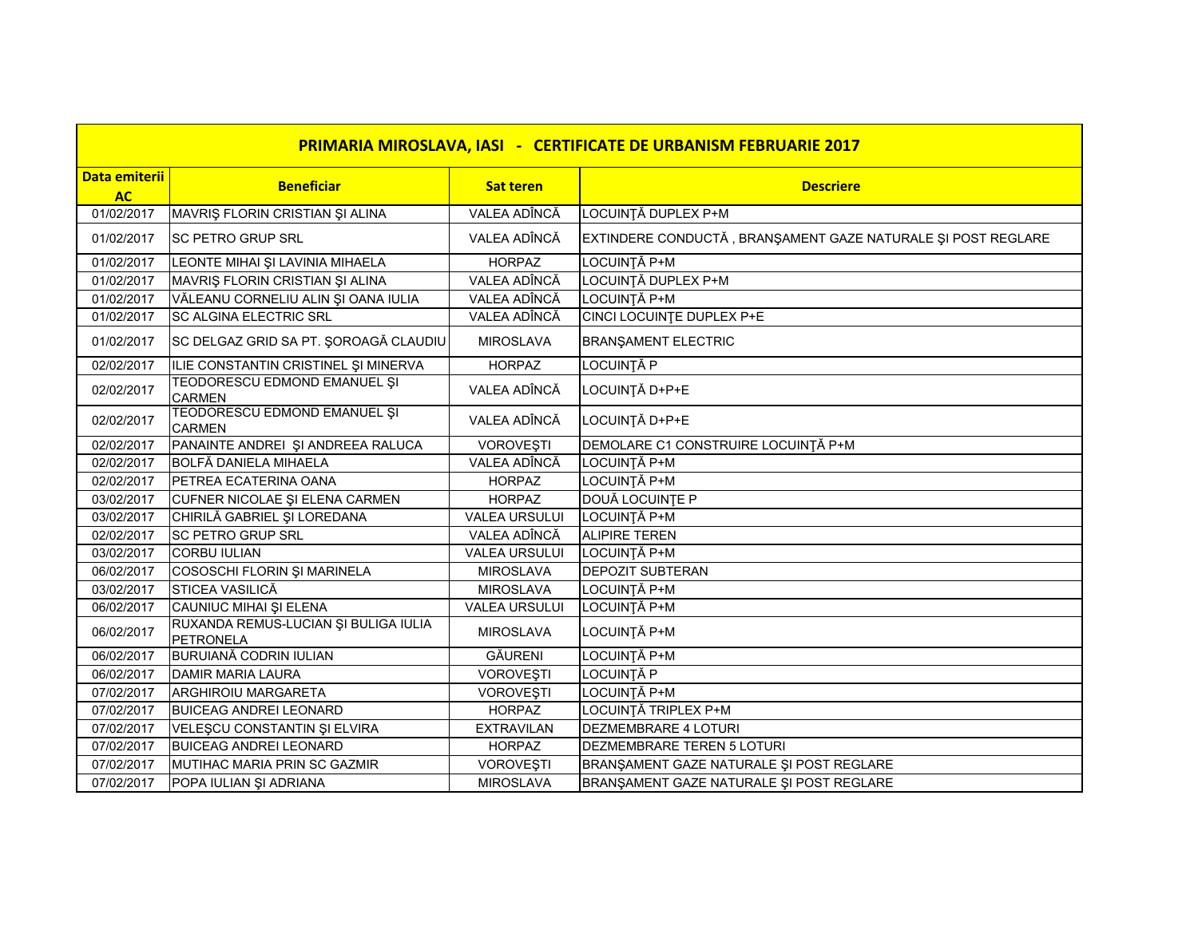| <b>PRIMARIA MIROSLAVA, IASI - CERTIFICATE DE URBANISM FEBRUARIE 2017</b> |                                                          |                      |                                                              |
|--------------------------------------------------------------------------|----------------------------------------------------------|----------------------|--------------------------------------------------------------|
| Data emiterii                                                            | <b>Beneficiar</b>                                        | <b>Sat teren</b>     | <b>Descriere</b>                                             |
| <b>AC</b>                                                                |                                                          |                      |                                                              |
| 01/02/2017                                                               | MAVRIȘ FLORIN CRISTIAN ȘI ALINA                          | VALEA ADÎNCĂ         | LOCUINȚĂ DUPLEX P+M                                          |
| 01/02/2017                                                               | <b>SC PETRO GRUP SRL</b>                                 | VALEA ADÎNCĂ         | EXTINDERE CONDUCTĂ, BRANȘAMENT GAZE NATURALE ȘI POST REGLARE |
| 01/02/2017                                                               | LEONTE MIHAI ȘI LAVINIA MIHAELA                          | <b>HORPAZ</b>        | LOCUINȚĂ P+M                                                 |
| 01/02/2017                                                               | MAVRIȘ FLORIN CRISTIAN ȘI ALINA                          | VALEA ADÎNCĂ         | LOCUINȚĂ DUPLEX P+M                                          |
| 01/02/2017                                                               | VĂLEANU CORNELIU ALIN ȘI OANA IULIA                      | VALEA ADÎNCĂ         | LOCUINȚĂ P+M                                                 |
| 01/02/2017                                                               | <b>SC ALGINA ELECTRIC SRL</b>                            | VALEA ADÎNCĂ         | <b>CINCI LOCUINTE DUPLEX P+E</b>                             |
| 01/02/2017                                                               | SC DELGAZ GRID SA PT. ȘOROAGĂ CLAUDIU                    | <b>MIROSLAVA</b>     | <b>BRANŞAMENT ELECTRIC</b>                                   |
| 02/02/2017                                                               | ILIE CONSTANTIN CRISTINEL ȘI MINERVA                     | <b>HORPAZ</b>        | LOCUINȚĂ P                                                   |
| 02/02/2017                                                               | TEODORESCU EDMOND EMANUEL ȘI<br><b>CARMEN</b>            | VALEA ADÎNCĂ         | LOCUINȚĂ D+P+E                                               |
| 02/02/2017                                                               | TEODORESCU EDMOND EMANUEL ȘI<br>CARMEN                   | VALEA ADÎNCĂ         | LOCUINȚĂ D+P+E                                               |
| 02/02/2017                                                               | PANAINTE ANDREI ȘI ANDREEA RALUCA                        | <b>VOROVEȘTI</b>     | DEMOLARE C1 CONSTRUIRE LOCUINȚĂ P+M                          |
| 02/02/2017                                                               | <b>BOLFĂ DANIELA MIHAELA</b>                             | VALEA ADÎNCĂ         | LOCUINȚĂ P+M                                                 |
| 02/02/2017                                                               | PETREA ECATERINA OANA                                    | <b>HORPAZ</b>        | LOCUINȚĂ P+M                                                 |
| 03/02/2017                                                               | CUFNER NICOLAE ȘI ELENA CARMEN                           | <b>HORPAZ</b>        | DOUĂ LOCUINȚE P                                              |
| 03/02/2017                                                               | CHIRILĂ GABRIEL ȘI LOREDANA                              | <b>VALEA URSULUI</b> | LOCUINȚĂ P+M                                                 |
| 02/02/2017                                                               | <b>SC PETRO GRUP SRL</b>                                 | VALEA ADÎNCĂ         | <b>ALIPIRE TEREN</b>                                         |
| 03/02/2017                                                               | <b>CORBU IULIAN</b>                                      | <b>VALEA URSULUI</b> | LOCUINȚĂ P+M                                                 |
| 06/02/2017                                                               | COSOSCHI FLORIN ȘI MARINELA                              | <b>MIROSLAVA</b>     | <b>DEPOZIT SUBTERAN</b>                                      |
| 03/02/2017                                                               | STICEA VASILICĂ                                          | <b>MIROSLAVA</b>     | LOCUINȚĂ P+M                                                 |
| 06/02/2017                                                               | CAUNIUC MIHAI ȘI ELENA                                   | <b>VALEA URSULUI</b> | LOCUINȚĂ P+M                                                 |
| 06/02/2017                                                               | RUXANDA REMUS-LUCIAN ȘI BULIGA IULIA<br><b>PETRONELA</b> | <b>MIROSLAVA</b>     | LOCUINȚĂ P+M                                                 |
| 06/02/2017                                                               | <b>BURUIANĂ CODRIN IULIAN</b>                            | <b>GĂURENI</b>       | LOCUINȚĂ P+M                                                 |
| 06/02/2017                                                               | <b>DAMIR MARIA LAURA</b>                                 | <b>VOROVEȘTI</b>     | LOCUINȚĂ P                                                   |
| 07/02/2017                                                               | ARGHIROIU MARGARETA                                      | VOROVEŞTI            | LOCUINȚĂ P+M                                                 |
| 07/02/2017                                                               | <b>BUICEAG ANDREI LEONARD</b>                            | <b>HORPAZ</b>        | LOCUINȚĂ TRIPLEX P+M                                         |
| 07/02/2017                                                               | VELEȘCU CONSTANTIN ȘI ELVIRA                             | <b>EXTRAVILAN</b>    | DEZMEMBRARE 4 LOTURI                                         |
| 07/02/2017                                                               | <b>BUICEAG ANDREI LEONARD</b>                            | <b>HORPAZ</b>        | DEZMEMBRARE TEREN 5 LOTURI                                   |
| 07/02/2017                                                               | MUTIHAC MARIA PRIN SC GAZMIR                             | <b>VOROVEŞTI</b>     | BRANŞAMENT GAZE NATURALE ŞI POST REGLARE                     |
| 07/02/2017                                                               | POPA IULIAN ȘI ADRIANA                                   | <b>MIROSLAVA</b>     | BRANŞAMENT GAZE NATURALE ŞI POST REGLARE                     |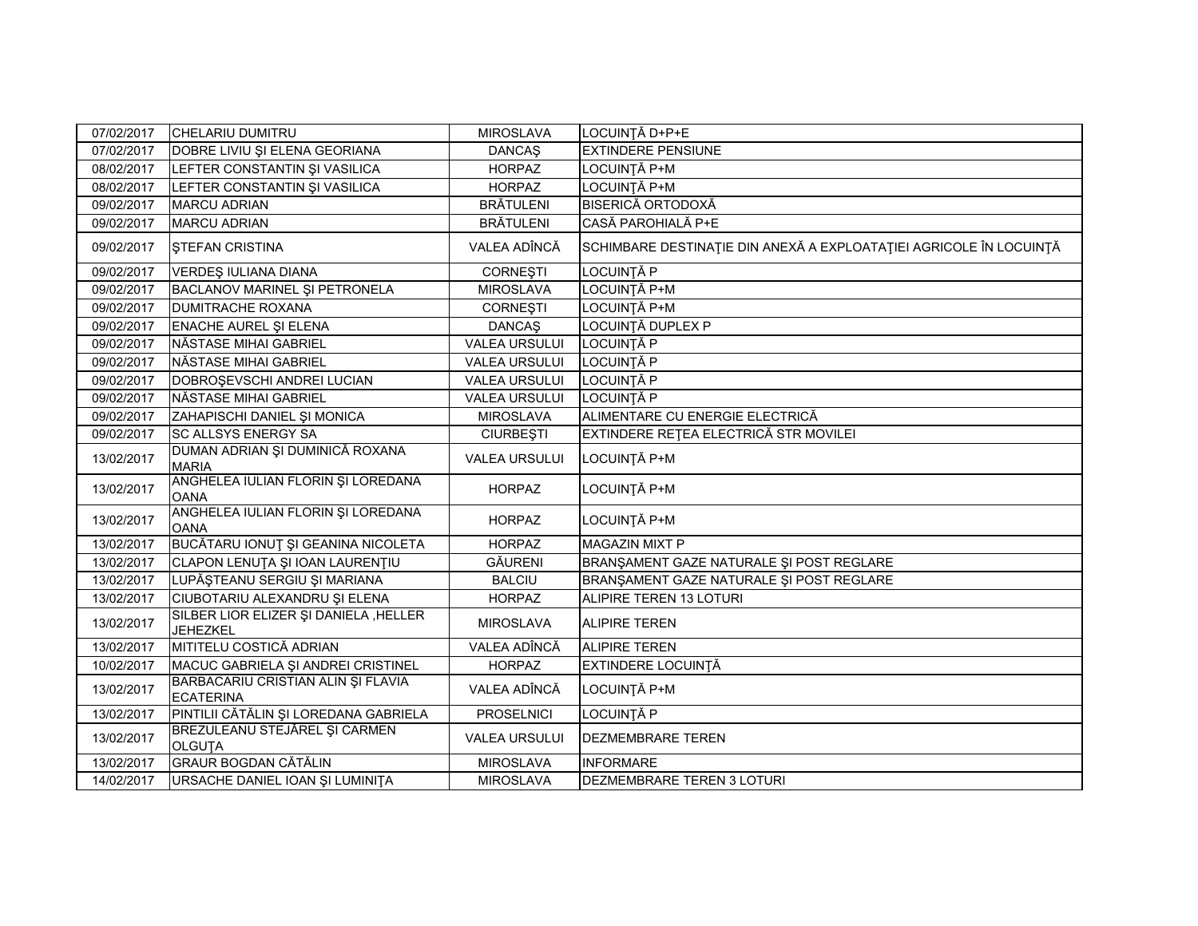| 07/02/2017 | CHELARIU DUMITRU                                         | <b>MIROSLAVA</b>     | LOCUINȚĂ D+P+E                                                     |
|------------|----------------------------------------------------------|----------------------|--------------------------------------------------------------------|
| 07/02/2017 | DOBRE LIVIU ȘI ELENA GEORIANA                            | <b>DANCAŞ</b>        | <b>EXTINDERE PENSIUNE</b>                                          |
| 08/02/2017 | LEFTER CONSTANTIN ȘI VASILICA                            | <b>HORPAZ</b>        | LOCUINȚĂ P+M                                                       |
| 08/02/2017 | LEFTER CONSTANTIN ȘI VASILICA                            | <b>HORPAZ</b>        | LOCUINȚĂ P+M                                                       |
| 09/02/2017 | <b>MARCU ADRIAN</b>                                      | <b>BRÄTULENI</b>     | <b>BISERICĂ ORTODOXĂ</b>                                           |
| 09/02/2017 | <b>MARCU ADRIAN</b>                                      | <b>BRÄTULENI</b>     | CASĂ PAROHIALĂ P+E                                                 |
| 09/02/2017 | <b>STEFAN CRISTINA</b>                                   | VALEA ADÎNCĂ         | SCHIMBARE DESTINAȚIE DIN ANEXĂ A EXPLOATAȚIEI AGRICOLE ÎN LOCUINȚĂ |
| 09/02/2017 | VERDEŞ IULIANA DIANA                                     | <b>CORNEȘTI</b>      | LOCUINȚĂ P                                                         |
| 09/02/2017 | BACLANOV MARINEL ȘI PETRONELA                            | <b>MIROSLAVA</b>     | LOCUINȚĂ P+M                                                       |
| 09/02/2017 | <b>DUMITRACHE ROXANA</b>                                 | <b>CORNEȘTI</b>      | LOCUINȚĂ P+M                                                       |
| 09/02/2017 | ENACHE AUREL ȘI ELENA                                    | <b>DANCAŞ</b>        | LOCUINȚĂ DUPLEX P                                                  |
| 09/02/2017 | NĂSTASE MIHAI GABRIEL                                    | <b>VALEA URSULUI</b> | LOCUINȚĂ P                                                         |
| 09/02/2017 | NĂSTASE MIHAI GABRIEL                                    | <b>VALEA URSULUI</b> | LOCUINȚĂ P                                                         |
| 09/02/2017 | DOBROȘEVSCHI ANDREI LUCIAN                               | <b>VALEA URSULUI</b> | LOCUINȚĂ P                                                         |
| 09/02/2017 | NĂSTASE MIHAI GABRIEL                                    | <b>VALEA URSULUI</b> | LOCUINȚĂ P                                                         |
| 09/02/2017 | ZAHAPISCHI DANIEL ȘI MONICA                              | <b>MIROSLAVA</b>     | ALIMENTARE CU ENERGIE ELECTRICĂ                                    |
| 09/02/2017 | <b>SC ALLSYS ENERGY SA</b>                               | <b>CIURBEȘTI</b>     | EXTINDERE REȚEA ELECTRICĂ STR MOVILEI                              |
| 13/02/2017 | DUMAN ADRIAN ȘI DUMINICĂ ROXANA<br><b>MARIA</b>          | <b>VALEA URSULUI</b> | LOCUINȚĂ P+M                                                       |
| 13/02/2017 | ANGHELEA IULIAN FLORIN ȘI LOREDANA<br><b>OANA</b>        | <b>HORPAZ</b>        | LOCUINȚĂ P+M                                                       |
| 13/02/2017 | ANGHELEA IULIAN FLORIN ȘI LOREDANA<br><b>OANA</b>        | <b>HORPAZ</b>        | LOCUINȚĂ P+M                                                       |
| 13/02/2017 | BUCĂTARU IONUȚ ȘI GEANINA NICOLETA                       | <b>HORPAZ</b>        | <b>MAGAZIN MIXT P</b>                                              |
| 13/02/2017 | CLAPON LENUȚA ȘI IOAN LAURENȚIU                          | <b>GÄURENI</b>       | BRANŞAMENT GAZE NATURALE ŞI POST REGLARE                           |
| 13/02/2017 | LUPĂȘTEANU SERGIU ȘI MARIANA                             | <b>BALCIU</b>        | BRANŞAMENT GAZE NATURALE ŞI POST REGLARE                           |
| 13/02/2017 | CIUBOTARIU ALEXANDRU ȘI ELENA                            | <b>HORPAZ</b>        | ALIPIRE TEREN 13 LOTURI                                            |
| 13/02/2017 | SILBER LIOR ELIZER ȘI DANIELA, HELLER<br><b>JEHEZKEL</b> | <b>MIROSLAVA</b>     | <b>ALIPIRE TEREN</b>                                               |
| 13/02/2017 | MITITELU COSTICĂ ADRIAN                                  | VALEA ADÎNCĂ         | <b>ALIPIRE TEREN</b>                                               |
| 10/02/2017 | MACUC GABRIELA ȘI ANDREI CRISTINEL                       | <b>HORPAZ</b>        | <b>EXTINDERE LOCUINȚĂ</b>                                          |
| 13/02/2017 | BARBACARIU CRISTIAN ALIN ȘI FLAVIA<br><b>ECATERINA</b>   | VALEA ADÎNCĂ         | LOCUINȚĂ P+M                                                       |
| 13/02/2017 | PINTILII CĂTĂLIN ȘI LOREDANA GABRIELA                    | <b>PROSELNICI</b>    | LOCUINȚĂ P                                                         |
| 13/02/2017 | BREZULEANU STEJĂREL ȘI CARMEN<br><b>OLGUTA</b>           | <b>VALEA URSULUI</b> | <b>DEZMEMBRARE TEREN</b>                                           |
| 13/02/2017 | <b>GRAUR BOGDAN CĂTĂLIN</b>                              | <b>MIROSLAVA</b>     | <b>INFORMARE</b>                                                   |
| 14/02/2017 | URSACHE DANIEL IOAN ȘI LUMINIȚA                          | <b>MIROSLAVA</b>     | DEZMEMBRARE TEREN 3 LOTURI                                         |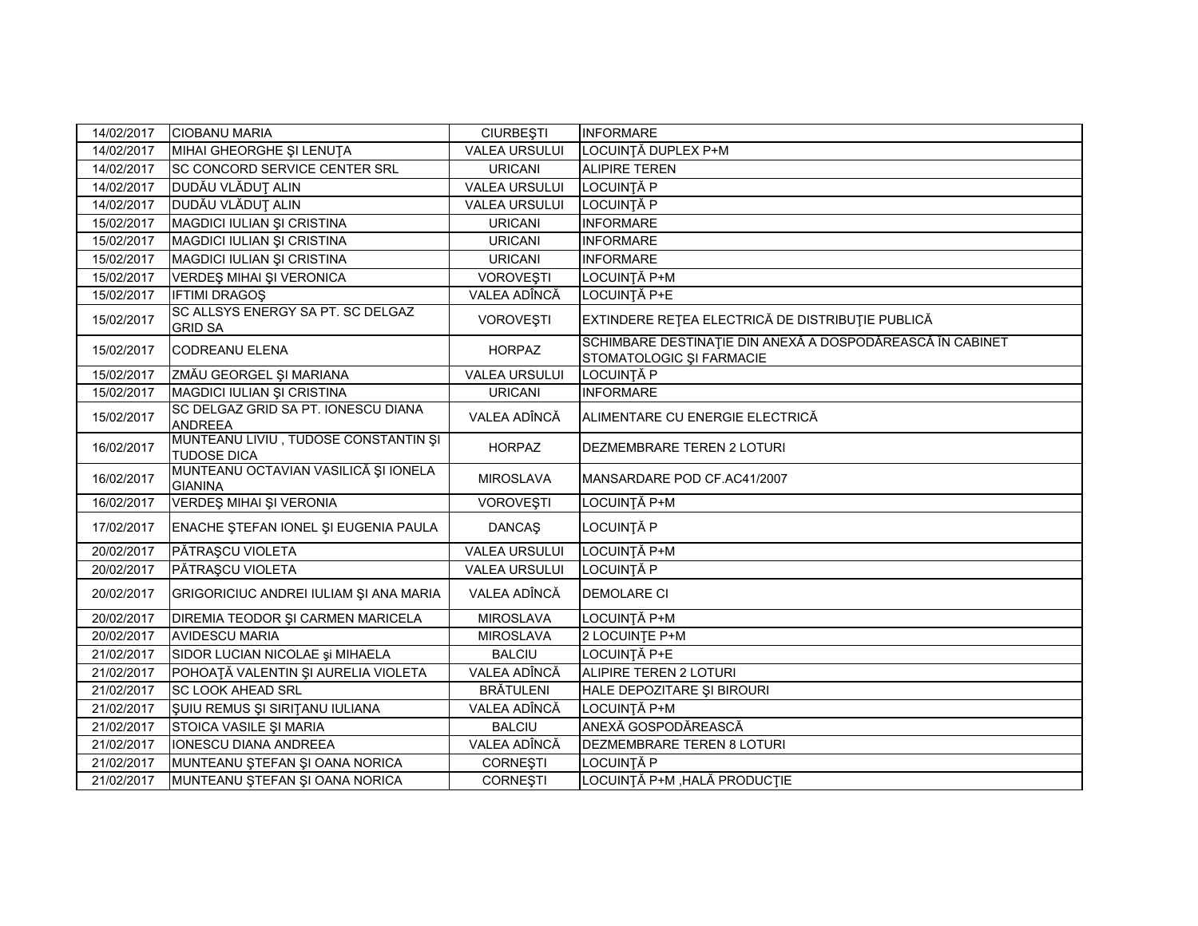| 14/02/2017 | <b>CIOBANU MARIA</b>                                       | <b>CIURBEȘTI</b>     | <b>INFORMARE</b>                                                                      |
|------------|------------------------------------------------------------|----------------------|---------------------------------------------------------------------------------------|
| 14/02/2017 | MIHAI GHEORGHE ȘI LENUȚA                                   | <b>VALEA URSULUI</b> | LOCUINȚĂ DUPLEX P+M                                                                   |
| 14/02/2017 | <b>SC CONCORD SERVICE CENTER SRL</b>                       | <b>URICANI</b>       | <b>ALIPIRE TEREN</b>                                                                  |
| 14/02/2017 | DUDĂU VLĂDUȚ ALIN                                          | <b>VALEA URSULUI</b> | LOCUINȚĂ P                                                                            |
| 14/02/2017 | DUDĂU VLĂDUȚ ALIN                                          | <b>VALEA URSULUI</b> | LOCUINȚĂ P                                                                            |
| 15/02/2017 | MAGDICI IULIAN ȘI CRISTINA                                 | <b>URICANI</b>       | <b>INFORMARE</b>                                                                      |
| 15/02/2017 | MAGDICI IULIAN ȘI CRISTINA                                 | <b>URICANI</b>       | <b>INFORMARE</b>                                                                      |
| 15/02/2017 | MAGDICI IULIAN ȘI CRISTINA                                 | <b>URICANI</b>       | <b>INFORMARE</b>                                                                      |
| 15/02/2017 | VERDEŞ MIHAI ŞI VERONICA                                   | VOROVEȘTI            | LOCUINȚĂ P+M                                                                          |
| 15/02/2017 | <b>IFTIMI DRAGOS</b>                                       | VALEA ADÎNCĂ         | LOCUINȚĂ P+E                                                                          |
| 15/02/2017 | SC ALLSYS ENERGY SA PT. SC DELGAZ<br><b>GRID SA</b>        | VOROVEȘTI            | EXTINDERE REȚEA ELECTRICĂ DE DISTRIBUȚIE PUBLICĂ                                      |
| 15/02/2017 | <b>CODREANU ELENA</b>                                      | <b>HORPAZ</b>        | SCHIMBARE DESTINAȚIE DIN ANEXĂ A DOSPODĂREASCĂ ÎN CABINET<br>STOMATOLOGIC ȘI FARMACIE |
| 15/02/2017 | ZMĂU GEORGEL ȘI MARIANA                                    | <b>VALEA URSULUI</b> | LOCUINȚĂ P                                                                            |
| 15/02/2017 | MAGDICI IULIAN ȘI CRISTINA                                 | <b>URICANI</b>       | <b>INFORMARE</b>                                                                      |
| 15/02/2017 | SC DELGAZ GRID SA PT. IONESCU DIANA<br><b>ANDREEA</b>      | VALEA ADÎNCĂ         | ALIMENTARE CU ENERGIE ELECTRICĂ                                                       |
| 16/02/2017 | MUNTEANU LIVIU, TUDOSE CONSTANTIN ȘI<br><b>TUDOSE DICA</b> | <b>HORPAZ</b>        | <b>DEZMEMBRARE TEREN 2 LOTURI</b>                                                     |
| 16/02/2017 | MUNTEANU OCTAVIAN VASILICĂ ȘI IONELA<br><b>GIANINA</b>     | <b>MIROSLAVA</b>     | MANSARDARE POD CF.AC41/2007                                                           |
| 16/02/2017 | VERDEŞ MIHAI ŞI VERONIA                                    | VOROVEȘTI            | LOCUINȚĂ P+M                                                                          |
| 17/02/2017 | ENACHE ȘTEFAN IONEL ȘI EUGENIA PAULA                       | <b>DANCAS</b>        | LOCUINȚĂ P                                                                            |
| 20/02/2017 | PĂTRAȘCU VIOLETA                                           | <b>VALEA URSULUI</b> | LOCUINȚĂ P+M                                                                          |
| 20/02/2017 | PĂTRAȘCU VIOLETA                                           | <b>VALEA URSULUI</b> | LOCUINȚĂ P                                                                            |
| 20/02/2017 | GRIGORICIUC ANDREI IULIAM ȘI ANA MARIA                     | VALEA ADÎNCĂ         | <b>DEMOLARE CI</b>                                                                    |
| 20/02/2017 | <b>DIREMIA TEODOR ȘI CARMEN MARICELA</b>                   | <b>MIROSLAVA</b>     | LOCUINȚĂ P+M                                                                          |
| 20/02/2017 | <b>AVIDESCU MARIA</b>                                      | <b>MIROSLAVA</b>     | 2 LOCUINTE P+M                                                                        |
| 21/02/2017 | SIDOR LUCIAN NICOLAE și MIHAELA                            | <b>BALCIU</b>        | LOCUINȚĂ P+E                                                                          |
| 21/02/2017 | POHOAȚĂ VALENTIN ȘI AURELIA VIOLETA                        | VALEA ADÎNCĂ         | ALIPIRE TEREN 2 LOTURI                                                                |
| 21/02/2017 | <b>SC LOOK AHEAD SRL</b>                                   | <b>BRÄTULENI</b>     | HALE DEPOZITARE ȘI BIROURI                                                            |
| 21/02/2017 | ŞUIU REMUS ŞI SIRITANU IULIANA                             | VALEA ADÎNCĂ         | <b>LOCUINȚĂ P+M</b>                                                                   |
| 21/02/2017 | STOICA VASILE ȘI MARIA                                     | <b>BALCIU</b>        | ANEXĂ GOSPODĂREASCĂ                                                                   |
| 21/02/2017 | IONESCU DIANA ANDREEA                                      | VALEA ADÎNCĂ         | DEZMEMBRARE TEREN 8 LOTURI                                                            |
| 21/02/2017 | MUNTEANU ŞTEFAN ŞI OANA NORICA                             | <b>CORNEŞTI</b>      | LOCUINȚĂ P                                                                            |
| 21/02/2017 | MUNTEANU ȘTEFAN ȘI OANA NORICA                             | <b>CORNEȘTI</b>      | LOCUINȚĂ P+M, HALĂ PRODUCȚIE                                                          |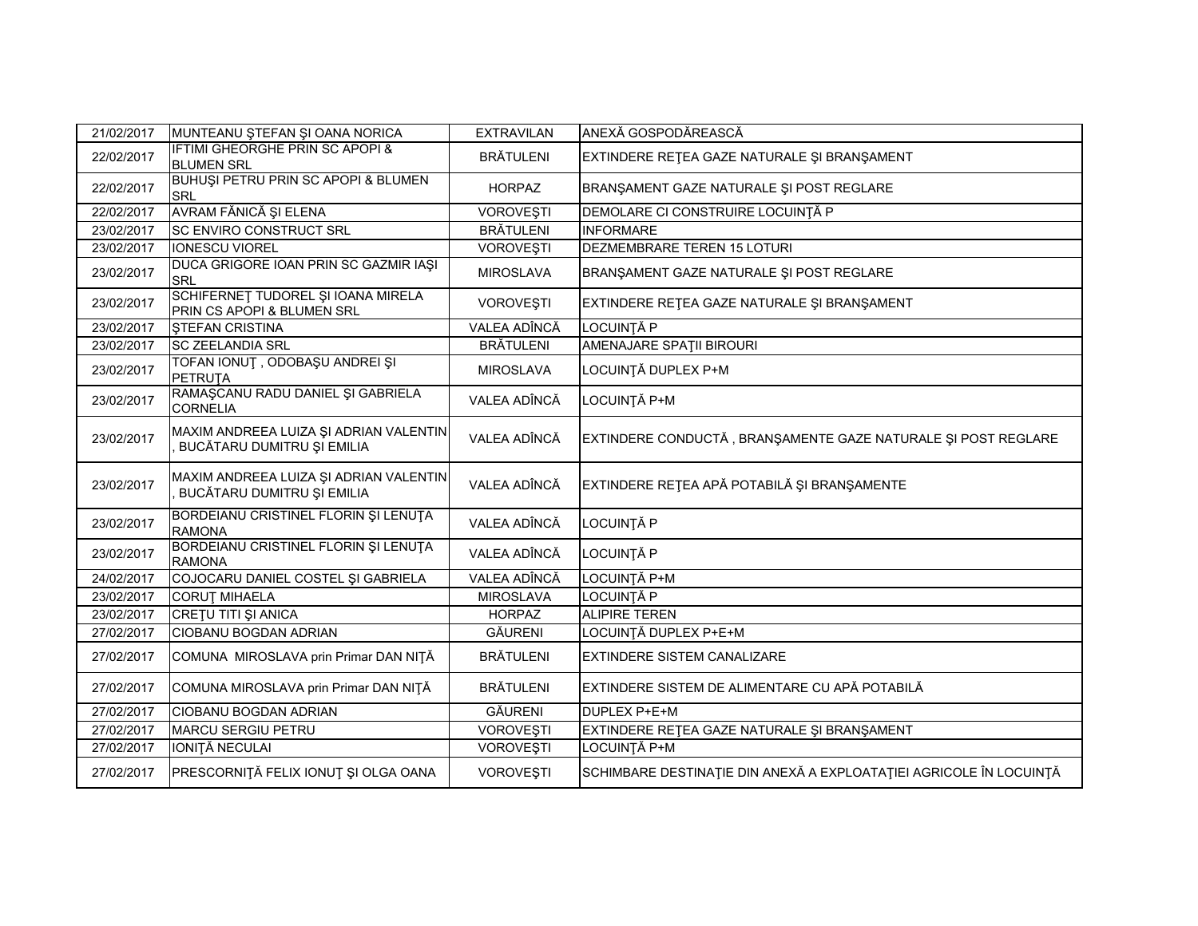| 21/02/2017 | MUNTEANU ŞTEFAN ŞI OANA NORICA                                       | <b>EXTRAVILAN</b> | ANEXĂ GOSPODĂREASCĂ                                                |
|------------|----------------------------------------------------------------------|-------------------|--------------------------------------------------------------------|
| 22/02/2017 | IFTIMI GHEORGHE PRIN SC APOPI &<br><b>BLUMEN SRL</b>                 | <b>BRĂTULENI</b>  | EXTINDERE REȚEA GAZE NATURALE ȘI BRANȘAMENT                        |
| 22/02/2017 | BUHUȘI PETRU PRIN SC APOPI & BLUMEN<br><b>SRL</b>                    | <b>HORPAZ</b>     | BRANŞAMENT GAZE NATURALE ŞI POST REGLARE                           |
| 22/02/2017 | AVRAM FĂNICĂ ȘI ELENA                                                | <b>VOROVEŞTI</b>  | DEMOLARE CI CONSTRUIRE LOCUINȚĂ P                                  |
| 23/02/2017 | SC ENVIRO CONSTRUCT SRL                                              | <b>BRÄTULENI</b>  | <b>INFORMARE</b>                                                   |
| 23/02/2017 | <b>IONESCU VIOREL</b>                                                | VOROVEŞTI         | DEZMEMBRARE TEREN 15 LOTURI                                        |
| 23/02/2017 | DUCA GRIGORE IOAN PRIN SC GAZMIR IAȘI<br>SRL                         | <b>MIROSLAVA</b>  | BRANŞAMENT GAZE NATURALE ŞI POST REGLARE                           |
| 23/02/2017 | SCHIFERNET TUDOREL ȘI IOANA MIRELA<br>PRIN CS APOPI & BLUMEN SRL     | <b>VOROVEŞTI</b>  | EXTINDERE RETEA GAZE NATURALE ȘI BRANȘAMENT                        |
| 23/02/2017 | <b>ŞTEFAN CRISTINA</b>                                               | VALEA ADÎNCĂ      | <b>LOCUINȚĂ P</b>                                                  |
| 23/02/2017 | <b>SC ZEELANDIA SRL</b>                                              | <b>BRÄTULENI</b>  | AMENAJARE SPATII BIROURI                                           |
| 23/02/2017 | TOFAN IONUȚ , ODOBAȘU ANDREI ȘI<br>PETRUTA                           | <b>MIROSLAVA</b>  | LOCUINȚĂ DUPLEX P+M                                                |
| 23/02/2017 | RAMAŞCANU RADU DANIEL ŞI GABRIELA<br><b>CORNELIA</b>                 | VALEA ADÎNCĂ      | LOCUINȚĂ P+M                                                       |
| 23/02/2017 | MAXIM ANDREEA LUIZA ȘI ADRIAN VALENTIN<br>BUCĂTARU DUMITRU ȘI EMILIA | VALEA ADÎNCĂ      | EXTINDERE CONDUCTĂ, BRANȘAMENTE GAZE NATURALE ȘI POST REGLARE      |
| 23/02/2017 | MAXIM ANDREEA LUIZA ȘI ADRIAN VALENTIN<br>BUCĂTARU DUMITRU ȘI EMILIA | VALEA ADÎNCĂ      | EXTINDERE REȚEA APĂ POTABILĂ ȘI BRANȘAMENTE                        |
| 23/02/2017 | BORDEIANU CRISTINEL FLORIN ȘI LENUȚA<br><b>RAMONA</b>                | VALEA ADÎNCĂ      | LOCUINȚĂ P                                                         |
| 23/02/2017 | BORDEIANU CRISTINEL FLORIN ȘI LENUȚA<br><b>RAMONA</b>                | VALEA ADÎNCĂ      | LOCUINȚĂ P                                                         |
| 24/02/2017 | COJOCARU DANIEL COSTEL ȘI GABRIELA                                   | VALEA ADÎNCĂ      | LOCUINȚĂ P+M                                                       |
| 23/02/2017 | <b>CORUT MIHAELA</b>                                                 | <b>MIROSLAVA</b>  | LOCUINȚĂ P                                                         |
| 23/02/2017 | CRETU TITI ȘI ANICA                                                  | <b>HORPAZ</b>     | <b>ALIPIRE TEREN</b>                                               |
| 27/02/2017 | CIOBANU BOGDAN ADRIAN                                                | <b>GĂURENI</b>    | LOCUINȚĂ DUPLEX P+E+M                                              |
| 27/02/2017 | COMUNA MIROSLAVA prin Primar DAN NITĂ                                | <b>BRÄTULENI</b>  | <b>EXTINDERE SISTEM CANALIZARE</b>                                 |
| 27/02/2017 | COMUNA MIROSLAVA prin Primar DAN NIȚĂ                                | <b>BRÄTULENI</b>  | EXTINDERE SISTEM DE ALIMENTARE CU APĂ POTABILĂ                     |
| 27/02/2017 | CIOBANU BOGDAN ADRIAN                                                | <b>GĂURENI</b>    | DUPLEX P+E+M                                                       |
| 27/02/2017 | <b>MARCU SERGIU PETRU</b>                                            | <b>VOROVEȘTI</b>  | EXTINDERE RETEA GAZE NATURALE ȘI BRANȘAMENT                        |
| 27/02/2017 | IONIȚĂ NECULAI                                                       | VOROVEŞTI         | LOCUINȚĂ P+M                                                       |
| 27/02/2017 | PRESCORNIȚĂ FELIX IONUȚ ȘI OLGA OANA                                 | <b>VOROVEȘTI</b>  | SCHIMBARE DESTINAȚIE DIN ANEXĂ A EXPLOATAȚIEI AGRICOLE ÎN LOCUINȚĂ |